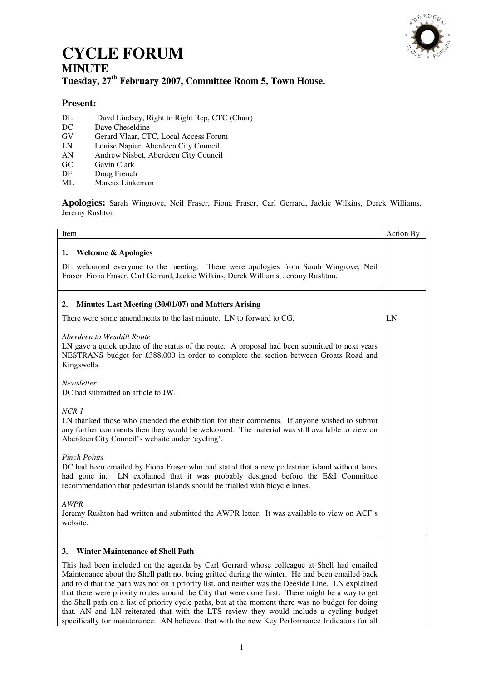

# **CYCLE FORUM MINUTE**

## **Tuesday, 27th February 2007, Committee Room 5, Town House.**

### **Present:**

- DL Davd Lindsey, Right to Right Rep, CTC (Chair)
- DC Dave Cheseldine<br>GV Gerard Vlaar, CT
- GV Gerard Vlaar, CTC, Local Access Forum<br>
LN Louise Napier, Aberdeen City Council
- LN Louise Napier, Aberdeen City Council
- AN Andrew Nisbet, Aberdeen City Council
- GC Gavin Clark<br>DF Doug French
- DF Doug French<br>ML Marcus Linke
- Marcus Linkeman

**Apologies:** Sarah Wingrove, Neil Fraser, Fiona Fraser, Carl Gerrard, Jackie Wilkins, Derek Williams, Jeremy Rushton

| Item                                                                                                                                                                                                                                                                                                                                                                                                                                                                                                                                                                                                                                                                                                                                                     | Action By |
|----------------------------------------------------------------------------------------------------------------------------------------------------------------------------------------------------------------------------------------------------------------------------------------------------------------------------------------------------------------------------------------------------------------------------------------------------------------------------------------------------------------------------------------------------------------------------------------------------------------------------------------------------------------------------------------------------------------------------------------------------------|-----------|
| <b>Welcome &amp; Apologies</b><br>1.<br>DL welcomed everyone to the meeting. There were apologies from Sarah Wingrove, Neil<br>Fraser, Fiona Fraser, Carl Gerrard, Jackie Wilkins, Derek Williams, Jeremy Rushton.                                                                                                                                                                                                                                                                                                                                                                                                                                                                                                                                       |           |
| Minutes Last Meeting (30/01/07) and Matters Arising<br>2.                                                                                                                                                                                                                                                                                                                                                                                                                                                                                                                                                                                                                                                                                                |           |
| There were some amendments to the last minute. LN to forward to CG.                                                                                                                                                                                                                                                                                                                                                                                                                                                                                                                                                                                                                                                                                      | LN        |
| Aberdeen to Westhill Route<br>LN gave a quick update of the status of the route. A proposal had been submitted to next years<br>NESTRANS budget for £388,000 in order to complete the section between Groats Road and<br>Kingswells.                                                                                                                                                                                                                                                                                                                                                                                                                                                                                                                     |           |
| Newsletter<br>DC had submitted an article to JW.                                                                                                                                                                                                                                                                                                                                                                                                                                                                                                                                                                                                                                                                                                         |           |
| NCR <sub>1</sub><br>LN thanked those who attended the exhibition for their comments. If anyone wished to submit<br>any further comments then they would be welcomed. The material was still available to view on<br>Aberdeen City Council's website under 'cycling'.                                                                                                                                                                                                                                                                                                                                                                                                                                                                                     |           |
| <b>Pinch Points</b><br>DC had been emailed by Fiona Fraser who had stated that a new pedestrian island without lanes<br>had gone in. LN explained that it was probably designed before the E&I Committee<br>recommendation that pedestrian islands should be trialled with bicycle lanes.                                                                                                                                                                                                                                                                                                                                                                                                                                                                |           |
| <b>AWPR</b><br>Jeremy Rushton had written and submitted the AWPR letter. It was available to view on ACF's<br>website.                                                                                                                                                                                                                                                                                                                                                                                                                                                                                                                                                                                                                                   |           |
| <b>Winter Maintenance of Shell Path</b><br>3.<br>This had been included on the agenda by Carl Gerrard whose colleague at Shell had emailed<br>Maintenance about the Shell path not being gritted during the winter. He had been emailed back<br>and told that the path was not on a priority list, and neither was the Deeside Line. LN explained<br>that there were priority routes around the City that were done first. There might be a way to get<br>the Shell path on a list of priority cycle paths, but at the moment there was no budget for doing<br>that. AN and LN reiterated that with the LTS review they would include a cycling budget<br>specifically for maintenance. AN believed that with the new Key Performance Indicators for all |           |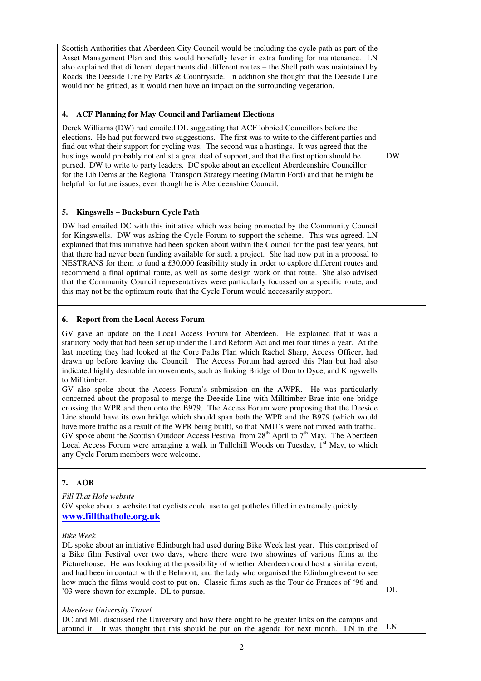| Scottish Authorities that Aberdeen City Council would be including the cycle path as part of the<br>Asset Management Plan and this would hopefully lever in extra funding for maintenance. LN<br>also explained that different departments did different routes - the Shell path was maintained by<br>Roads, the Deeside Line by Parks & Countryside. In addition she thought that the Deeside Line<br>would not be gritted, as it would then have an impact on the surrounding vegetation.                                                                                                                                                                                                                                                                                                                                                                                                                                                                                                                                                                                                                                                                                                                                                                                                       |           |
|---------------------------------------------------------------------------------------------------------------------------------------------------------------------------------------------------------------------------------------------------------------------------------------------------------------------------------------------------------------------------------------------------------------------------------------------------------------------------------------------------------------------------------------------------------------------------------------------------------------------------------------------------------------------------------------------------------------------------------------------------------------------------------------------------------------------------------------------------------------------------------------------------------------------------------------------------------------------------------------------------------------------------------------------------------------------------------------------------------------------------------------------------------------------------------------------------------------------------------------------------------------------------------------------------|-----------|
| <b>ACF Planning for May Council and Parliament Elections</b><br>4.<br>Derek Williams (DW) had emailed DL suggesting that ACF lobbied Councillors before the<br>elections. He had put forward two suggestions. The first was to write to the different parties and<br>find out what their support for cycling was. The second was a hustings. It was agreed that the<br>hustings would probably not enlist a great deal of support, and that the first option should be<br>pursed. DW to write to party leaders. DC spoke about an excellent Aberdeenshire Councillor<br>for the Lib Dems at the Regional Transport Strategy meeting (Martin Ford) and that he might be<br>helpful for future issues, even though he is Aberdeenshire Council.                                                                                                                                                                                                                                                                                                                                                                                                                                                                                                                                                     | <b>DW</b> |
| Kingswells - Bucksburn Cycle Path<br>5.<br>DW had emailed DC with this initiative which was being promoted by the Community Council<br>for Kingswells. DW was asking the Cycle Forum to support the scheme. This was agreed. LN<br>explained that this initiative had been spoken about within the Council for the past few years, but<br>that there had never been funding available for such a project. She had now put in a proposal to<br>NESTRANS for them to fund a £30,000 feasibility study in order to explore different routes and<br>recommend a final optimal route, as well as some design work on that route. She also advised<br>that the Community Council representatives were particularly focussed on a specific route, and<br>this may not be the optimum route that the Cycle Forum would necessarily support.                                                                                                                                                                                                                                                                                                                                                                                                                                                               |           |
| <b>Report from the Local Access Forum</b><br>6.<br>GV gave an update on the Local Access Forum for Aberdeen. He explained that it was a<br>statutory body that had been set up under the Land Reform Act and met four times a year. At the<br>last meeting they had looked at the Core Paths Plan which Rachel Sharp, Access Officer, had<br>drawn up before leaving the Council. The Access Forum had agreed this Plan but had also<br>indicated highly desirable improvements, such as linking Bridge of Don to Dyce, and Kingswells<br>to Milltimber.<br>GV also spoke about the Access Forum's submission on the AWPR. He was particularly<br>concerned about the proposal to merge the Deeside Line with Milltimber Brae into one bridge<br>crossing the WPR and then onto the B979. The Access Forum were proposing that the Deeside<br>Line should have its own bridge which should span both the WPR and the B979 (which would<br>have more traffic as a result of the WPR being built), so that NMU's were not mixed with traffic.<br>GV spoke about the Scottish Outdoor Access Festival from $28th$ April to $7th$ May. The Aberdeen<br>Local Access Forum were arranging a walk in Tullohill Woods on Tuesday, 1 <sup>st</sup> May, to which<br>any Cycle Forum members were welcome. |           |
| <b>AOB</b><br>7.<br>Fill That Hole website<br>GV spoke about a website that cyclists could use to get potholes filled in extremely quickly.<br>www.fillthathole.org.uk<br><b>Bike Week</b><br>DL spoke about an initiative Edinburgh had used during Bike Week last year. This comprised of<br>a Bike film Festival over two days, where there were two showings of various films at the<br>Picturehouse. He was looking at the possibility of whether Aberdeen could host a similar event,<br>and had been in contact with the Belmont, and the lady who organised the Edinburgh event to see<br>how much the films would cost to put on. Classic films such as the Tour de Frances of '96 and<br>'03 were shown for example. DL to pursue.<br>Aberdeen University Travel                                                                                                                                                                                                                                                                                                                                                                                                                                                                                                                        | DL        |
| DC and ML discussed the University and how there ought to be greater links on the campus and<br>around it. It was thought that this should be put on the agenda for next month. LN in the                                                                                                                                                                                                                                                                                                                                                                                                                                                                                                                                                                                                                                                                                                                                                                                                                                                                                                                                                                                                                                                                                                         | LN        |